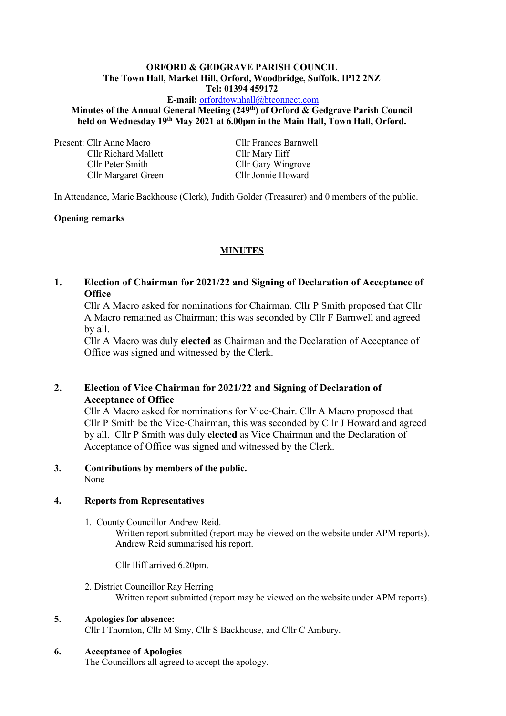#### **ORFORD & GEDGRAVE PARISH COUNCIL The Town Hall, Market Hill, Orford, Woodbridge, Suffolk. IP12 2NZ Tel: 01394 459172**

**E-mail:** [orfordtownhall@btconnect.com](mailto:orfordtownhall@btconnect.com)

# **Minutes of the Annual General Meeting (249 th) of Orford & Gedgrave Parish Council held on Wednesday 19 th May 2021 at 6.00pm in the Main Hall, Town Hall, Orford.**

Present: Cllr Anne Macro Cllr Frances Barnwell Cllr Richard Mallett Cllr Mary Iliff Cllr Peter Smith Cllr Gary Wingrove

Cllr Margaret Green Cllr Jonnie Howard

In Attendance, Marie Backhouse (Clerk), Judith Golder (Treasurer) and 0 members of the public.

## **Opening remarks**

# **MINUTES**

**1. Election of Chairman for 2021/22 and Signing of Declaration of Acceptance of Office** 

Cllr A Macro asked for nominations for Chairman. Cllr P Smith proposed that Cllr A Macro remained as Chairman; this was seconded by Cllr F Barnwell and agreed by all.

Cllr A Macro was duly **elected** as Chairman and the Declaration of Acceptance of Office was signed and witnessed by the Clerk.

# **2. Election of Vice Chairman for 2021/22 and Signing of Declaration of Acceptance of Office**

Cllr A Macro asked for nominations for Vice-Chair. Cllr A Macro proposed that Cllr P Smith be the Vice-Chairman, this was seconded by Cllr J Howard and agreed by all.Cllr P Smith was duly **elected** as Vice Chairman and the Declaration of Acceptance of Office was signed and witnessed by the Clerk.

#### **3. Contributions by members of the public.** None

#### **4. Reports from Representatives**

1. County Councillor Andrew Reid.

Written report submitted (report may be viewed on the website under APM reports). Andrew Reid summarised his report.

Cllr Iliff arrived 6.20pm.

2. District Councillor Ray Herring Written report submitted (report may be viewed on the website under APM reports).

# **5. Apologies for absence:**

Cllr I Thornton, Cllr M Smy, Cllr S Backhouse, and Cllr C Ambury.

# **6. Acceptance of Apologies**

The Councillors all agreed to accept the apology.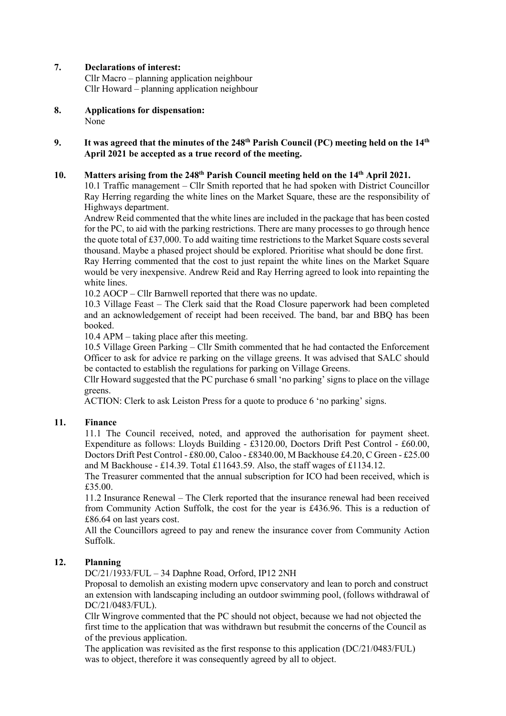## **7. Declarations of interest:**

Cllr Macro – planning application neighbour Cllr Howard – planning application neighbour

**8. Applications for dispensation:** None

#### **9.** It was agreed that the minutes of the 248<sup>th</sup> Parish Council (PC) meeting held on the 14<sup>th</sup> **April 2021 be accepted as a true record of the meeting.**

#### **10. Matters arising from the 248 th Parish Council meeting held on the 14 th April 2021.**

10.1 Traffic management – Cllr Smith reported that he had spoken with District Councillor Ray Herring regarding the white lines on the Market Square, these are the responsibility of Highways department.

Andrew Reid commented that the white lines are included in the package that has been costed for the PC, to aid with the parking restrictions. There are many processes to go through hence the quote total of £37,000. To add waiting time restrictions to the Market Square costs several thousand. Maybe a phased project should be explored. Prioritise what should be done first. Ray Herring commented that the cost to just repaint the white lines on the Market Square would be very inexpensive. Andrew Reid and Ray Herring agreed to look into repainting the white lines.

10.2 AOCP – Cllr Barnwell reported that there was no update.

10.3 Village Feast – The Clerk said that the Road Closure paperwork had been completed and an acknowledgement of receipt had been received. The band, bar and BBQ has been booked.

10.4 APM – taking place after this meeting.

10.5 Village Green Parking – Cllr Smith commented that he had contacted the Enforcement Officer to ask for advice re parking on the village greens. It was advised that SALC should be contacted to establish the regulations for parking on Village Greens.

Cllr Howard suggested that the PC purchase 6 small 'no parking' signs to place on the village greens.

ACTION: Clerk to ask Leiston Press for a quote to produce 6 'no parking' signs.

#### **11. Finance**

11.1 The Council received, noted, and approved the authorisation for payment sheet. Expenditure as follows: Lloyds Building - £3120.00, Doctors Drift Pest Control - £60.00, Doctors Drift Pest Control - £80.00, Caloo - £8340.00, M Backhouse £4.20, C Green - £25.00 and M Backhouse - £14.39. Total £11643.59. Also, the staff wages of £1134.12.

The Treasurer commented that the annual subscription for ICO had been received, which is £35.00.

11.2 Insurance Renewal – The Clerk reported that the insurance renewal had been received from Community Action Suffolk, the cost for the year is £436.96. This is a reduction of £86.64 on last years cost.

All the Councillors agreed to pay and renew the insurance cover from Community Action Suffolk.

#### **12. Planning**

DC/21/1933/FUL – 34 Daphne Road, Orford, IP12 2NH

Proposal to demolish an existing modern upvc conservatory and lean to porch and construct an extension with landscaping including an outdoor swimming pool, (follows withdrawal of DC/21/0483/FUL).

Cllr Wingrove commented that the PC should not object, because we had not objected the first time to the application that was withdrawn but resubmit the concerns of the Council as of the previous application.

The application was revisited as the first response to this application (DC/21/0483/FUL) was to object, therefore it was consequently agreed by all to object.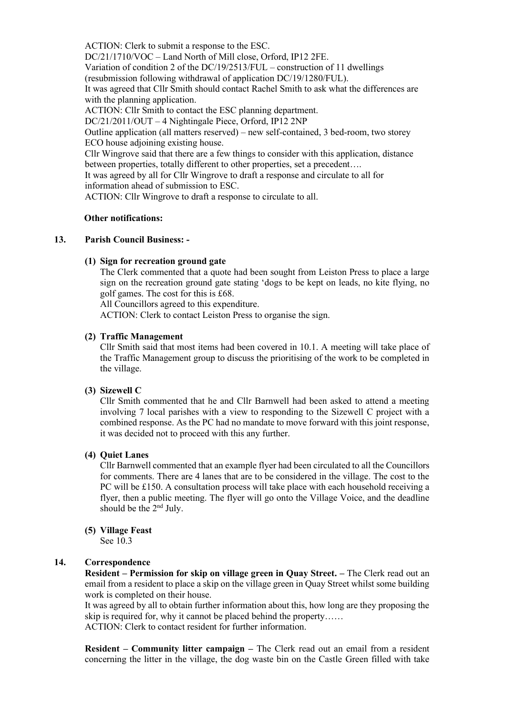ACTION: Clerk to submit a response to the ESC. DC/21/1710/VOC – Land North of Mill close, Orford, IP12 2FE. Variation of condition 2 of the DC/19/2513/FUL – construction of 11 dwellings (resubmission following withdrawal of application DC/19/1280/FUL). It was agreed that Cllr Smith should contact Rachel Smith to ask what the differences are with the planning application. ACTION: Cllr Smith to contact the ESC planning department. DC/21/2011/OUT – 4 Nightingale Piece, Orford, IP12 2NP Outline application (all matters reserved) – new self-contained, 3 bed-room, two storey ECO house adjoining existing house. Cllr Wingrove said that there are a few things to consider with this application, distance between properties, totally different to other properties, set a precedent…. It was agreed by all for Cllr Wingrove to draft a response and circulate to all for information ahead of submission to ESC. ACTION: Cllr Wingrove to draft a response to circulate to all.

#### **Other notifications:**

#### **13. Parish Council Business: -**

#### **(1) Sign for recreation ground gate**

The Clerk commented that a quote had been sought from Leiston Press to place a large sign on the recreation ground gate stating 'dogs to be kept on leads, no kite flying, no golf games. The cost for this is £68.

All Councillors agreed to this expenditure.

ACTION: Clerk to contact Leiston Press to organise the sign.

#### **(2) Traffic Management**

Cllr Smith said that most items had been covered in 10.1. A meeting will take place of the Traffic Management group to discuss the prioritising of the work to be completed in the village.

#### **(3) Sizewell C**

Cllr Smith commented that he and Cllr Barnwell had been asked to attend a meeting involving 7 local parishes with a view to responding to the Sizewell C project with a combined response. As the PC had no mandate to move forward with this joint response, it was decided not to proceed with this any further.

#### **(4) Quiet Lanes**

Cllr Barnwell commented that an example flyer had been circulated to all the Councillors for comments. There are 4 lanes that are to be considered in the village. The cost to the PC will be £150. A consultation process will take place with each household receiving a flyer, then a public meeting. The flyer will go onto the Village Voice, and the deadline should be the 2<sup>nd</sup> July.

#### **(5) Village Feast**

See 10.3

## **14. Correspondence**

**Resident – Permission for skip on village green in Quay Street. –** The Clerk read out an email from a resident to place a skip on the village green in Quay Street whilst some building work is completed on their house.

It was agreed by all to obtain further information about this, how long are they proposing the skip is required for, why it cannot be placed behind the property……

ACTION: Clerk to contact resident for further information.

**Resident – Community litter campaign –** The Clerk read out an email from a resident concerning the litter in the village, the dog waste bin on the Castle Green filled with take